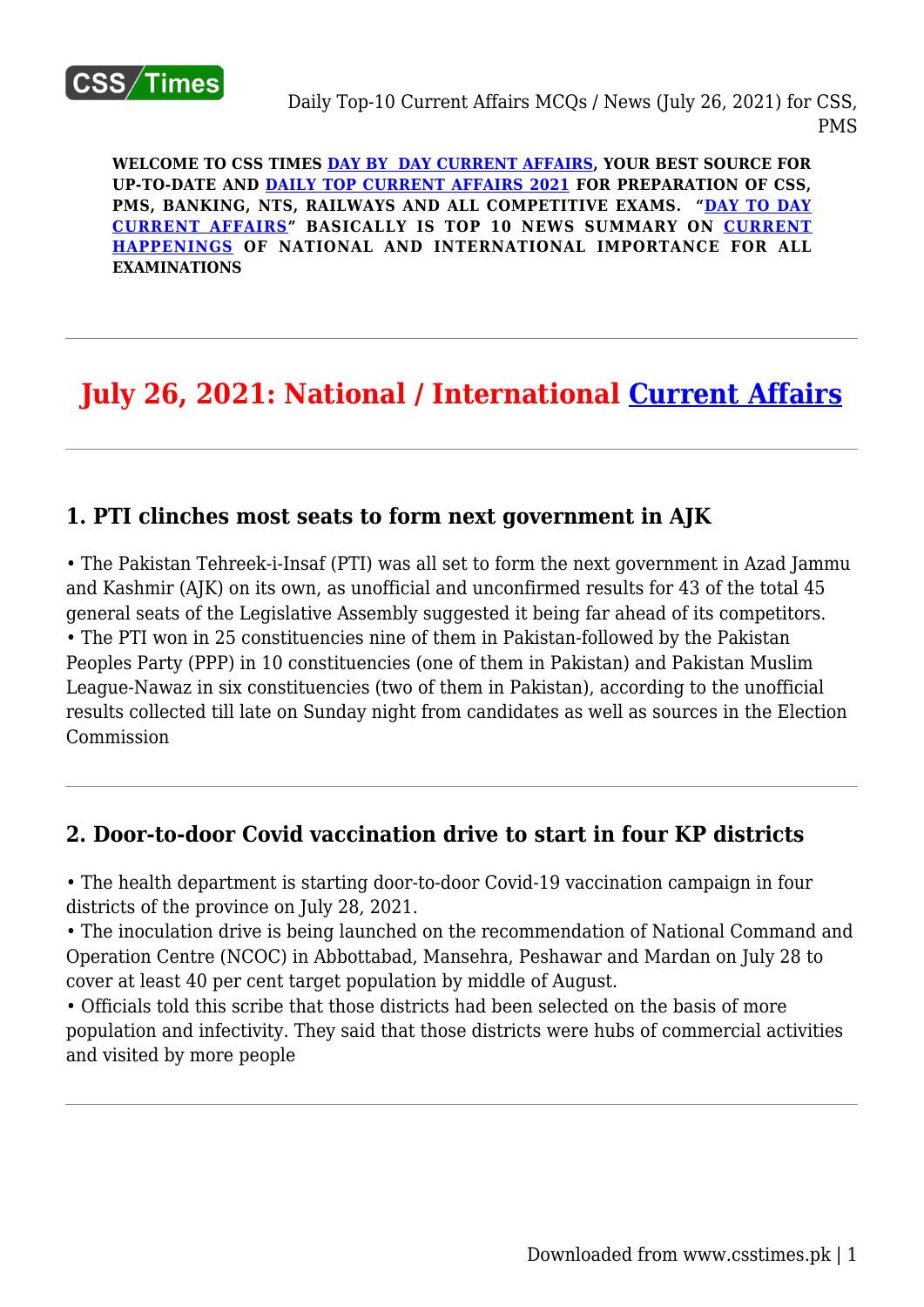

**WELCOME TO CSS TIMES [DAY BY DAY CURRENT AFFAIRS](https://www.csstimes.pk/category/csssubject/csscompulsorysubjects/currentaffairs/), YOUR BEST SOURCE FOR UP-TO-DATE AND [DAILY TOP CURRENT AFFAIRS 2021](https://www.csstimes.pk/category/csssubject/csscompulsorysubjects/currentaffairs/) FOR PREPARATION OF CSS, PMS, BANKING, NTS, RAILWAYS AND ALL COMPETITIVE EXAMS. "[DAY TO DAY](https://www.csstimes.pk/category/csssubject/csscompulsorysubjects/currentaffairs/) [CURRENT AFFAIRS"](https://www.csstimes.pk/category/csssubject/csscompulsorysubjects/currentaffairs/) BASICALLY IS TOP 10 NEWS SUMMARY ON [CURRENT](https://www.csstimes.pk/category/csssubject/csscompulsorysubjects/currentaffairs/) [HAPPENINGS](https://www.csstimes.pk/category/csssubject/csscompulsorysubjects/currentaffairs/) OF NATIONAL AND INTERNATIONAL IMPORTANCE FOR ALL EXAMINATIONS**

# **July 26, 2021: National / International [Current Affairs](https://www.csstimes.pk/category/csssubject/csscompulsorysubjects/currentaffairs/)**

# **1. PTI clinches most seats to form next government in AJK**

• The Pakistan Tehreek-i-Insaf (PTI) was all set to form the next government in Azad Jammu and Kashmir (AJK) on its own, as unofficial and unconfirmed results for 43 of the total 45 general seats of the Legislative Assembly suggested it being far ahead of its competitors. • The PTI won in 25 constituencies nine of them in Pakistan-followed by the Pakistan Peoples Party (PPP) in 10 constituencies (one of them in Pakistan) and Pakistan Muslim League-Nawaz in six constituencies (two of them in Pakistan), according to the unofficial results collected till late on Sunday night from candidates as well as sources in the Election Commission

# **2. Door-to-door Covid vaccination drive to start in four KP districts**

• The health department is starting door-to-door Covid-19 vaccination campaign in four districts of the province on July 28, 2021.

• The inoculation drive is being launched on the recommendation of National Command and Operation Centre (NCOC) in Abbottabad, Mansehra, Peshawar and Mardan on July 28 to cover at least 40 per cent target population by middle of August.

• Officials told this scribe that those districts had been selected on the basis of more population and infectivity. They said that those districts were hubs of commercial activities and visited by more people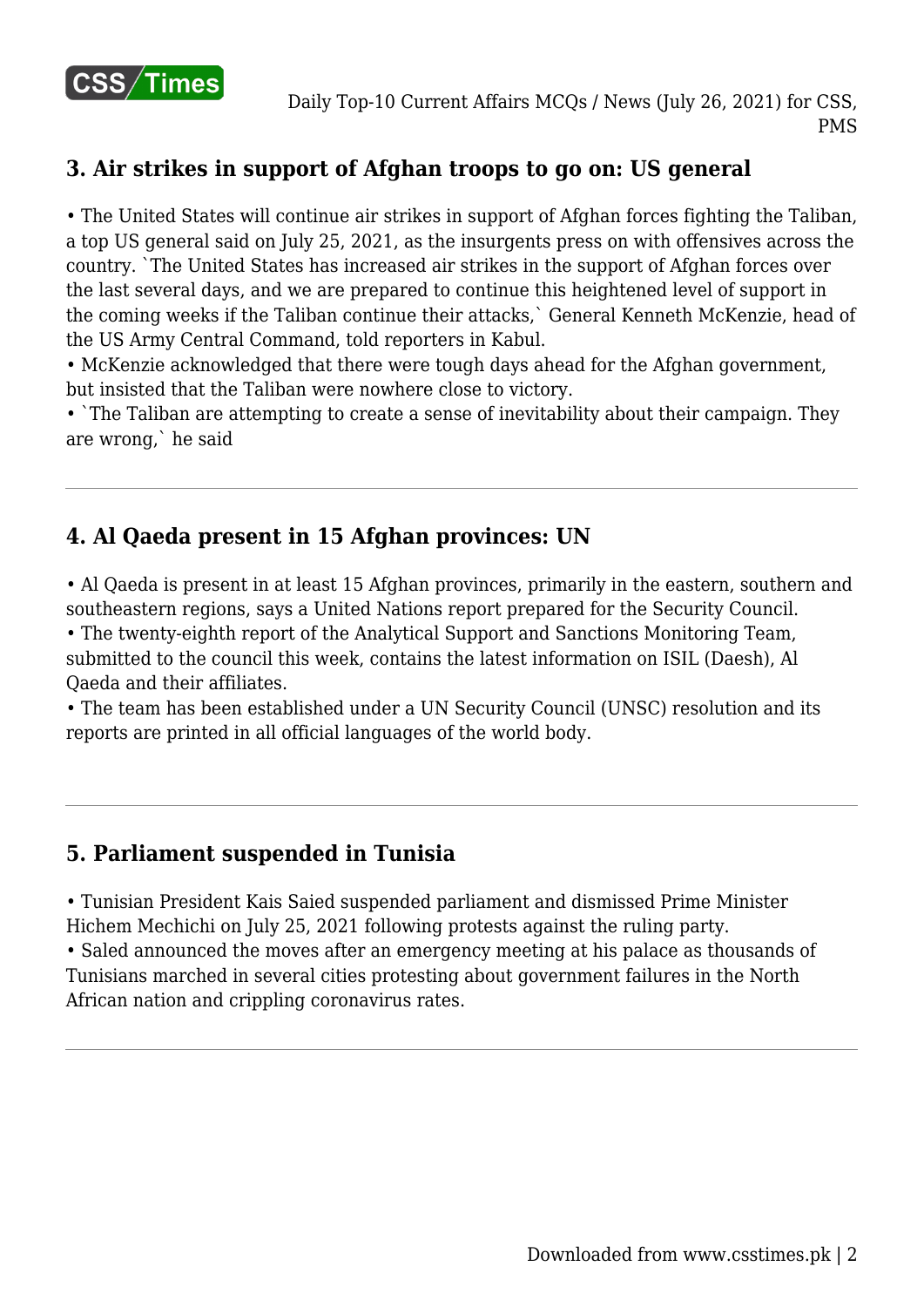

# **3. Air strikes in support of Afghan troops to go on: US general**

• The United States will continue air strikes in support of Afghan forces fighting the Taliban, a top US general said on July 25, 2021, as the insurgents press on with offensives across the country. `The United States has increased air strikes in the support of Afghan forces over the last several days, and we are prepared to continue this heightened level of support in the coming weeks if the Taliban continue their attacks,` General Kenneth McKenzie, head of the US Army Central Command, told reporters in Kabul.

• McKenzie acknowledged that there were tough days ahead for the Afghan government, but insisted that the Taliban were nowhere close to victory.

• `The Taliban are attempting to create a sense of inevitability about their campaign. They are wrong,` he said

# **4. Al Qaeda present in 15 Afghan provinces: UN**

• Al Qaeda is present in at least 15 Afghan provinces, primarily in the eastern, southern and southeastern regions, says a United Nations report prepared for the Security Council.

• The twenty-eighth report of the Analytical Support and Sanctions Monitoring Team, submitted to the council this week, contains the latest information on ISIL (Daesh), Al Qaeda and their affiliates.

• The team has been established under a UN Security Council (UNSC) resolution and its reports are printed in all official languages of the world body.

# **5. Parliament suspended in Tunisia**

• Tunisian President Kais Saied suspended parliament and dismissed Prime Minister Hichem Mechichi on July 25, 2021 following protests against the ruling party.

• Saled announced the moves after an emergency meeting at his palace as thousands of Tunisians marched in several cities protesting about government failures in the North African nation and crippling coronavirus rates.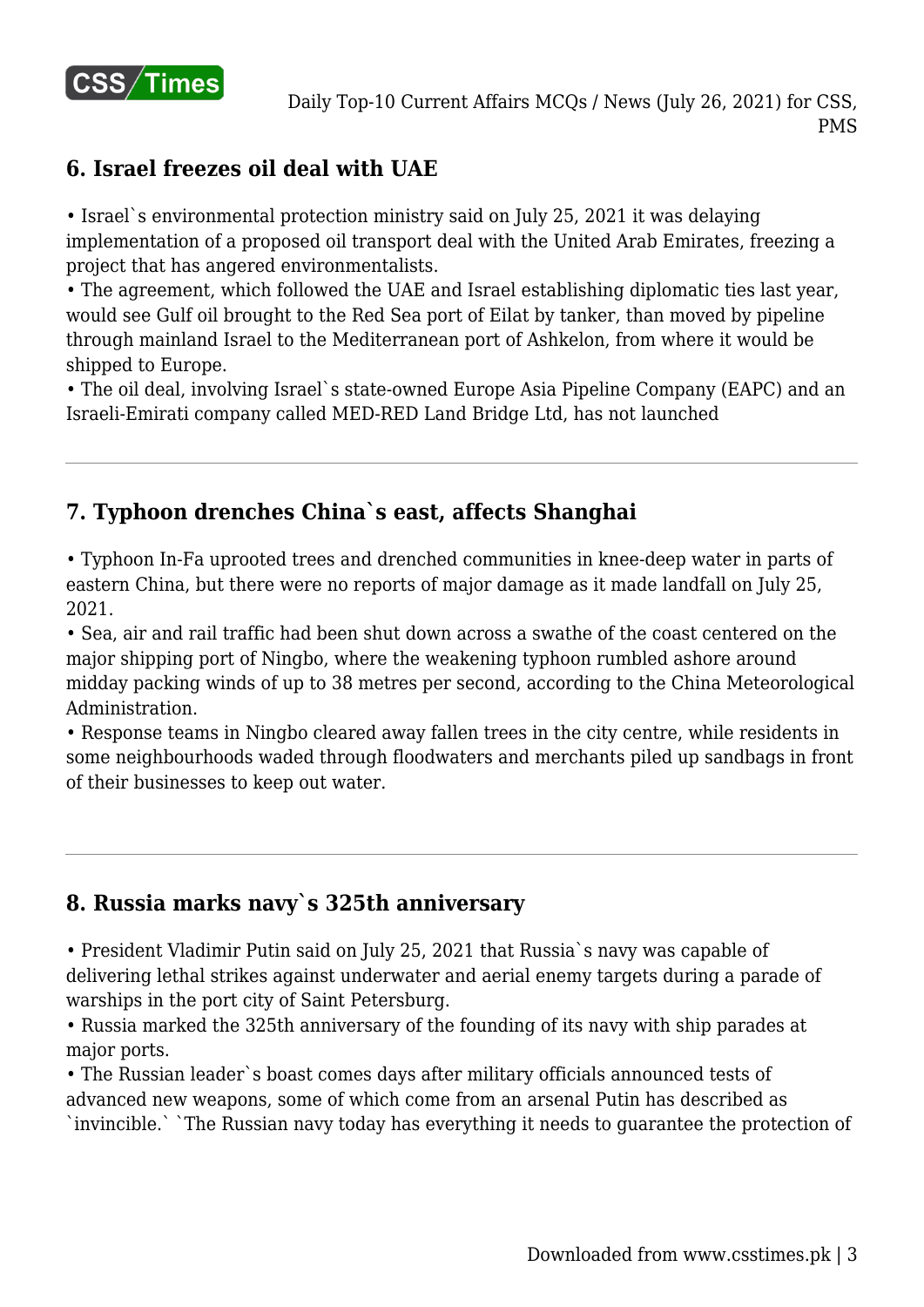

### **6. Israel freezes oil deal with UAE**

• Israel`s environmental protection ministry said on July 25, 2021 it was delaying implementation of a proposed oil transport deal with the United Arab Emirates, freezing a project that has angered environmentalists.

• The agreement, which followed the UAE and Israel establishing diplomatic ties last year, would see Gulf oil brought to the Red Sea port of Eilat by tanker, than moved by pipeline through mainland Israel to the Mediterranean port of Ashkelon, from where it would be shipped to Europe.

• The oil deal, involving Israel`s state-owned Europe Asia Pipeline Company (EAPC) and an Israeli-Emirati company called MED-RED Land Bridge Ltd, has not launched

# **7. Typhoon drenches China`s east, affects Shanghai**

• Typhoon In-Fa uprooted trees and drenched communities in knee-deep water in parts of eastern China, but there were no reports of major damage as it made landfall on July 25, 2021.

• Sea, air and rail traffic had been shut down across a swathe of the coast centered on the major shipping port of Ningbo, where the weakening typhoon rumbled ashore around midday packing winds of up to 38 metres per second, according to the China Meteorological Administration.

• Response teams in Ningbo cleared away fallen trees in the city centre, while residents in some neighbourhoods waded through floodwaters and merchants piled up sandbags in front of their businesses to keep out water.

# **8. Russia marks navy`s 325th anniversary**

• President Vladimir Putin said on July 25, 2021 that Russia`s navy was capable of delivering lethal strikes against underwater and aerial enemy targets during a parade of warships in the port city of Saint Petersburg.

• Russia marked the 325th anniversary of the founding of its navy with ship parades at major ports.

• The Russian leader`s boast comes days after military officials announced tests of advanced new weapons, some of which come from an arsenal Putin has described as `invincible.` `The Russian navy today has everything it needs to guarantee the protection of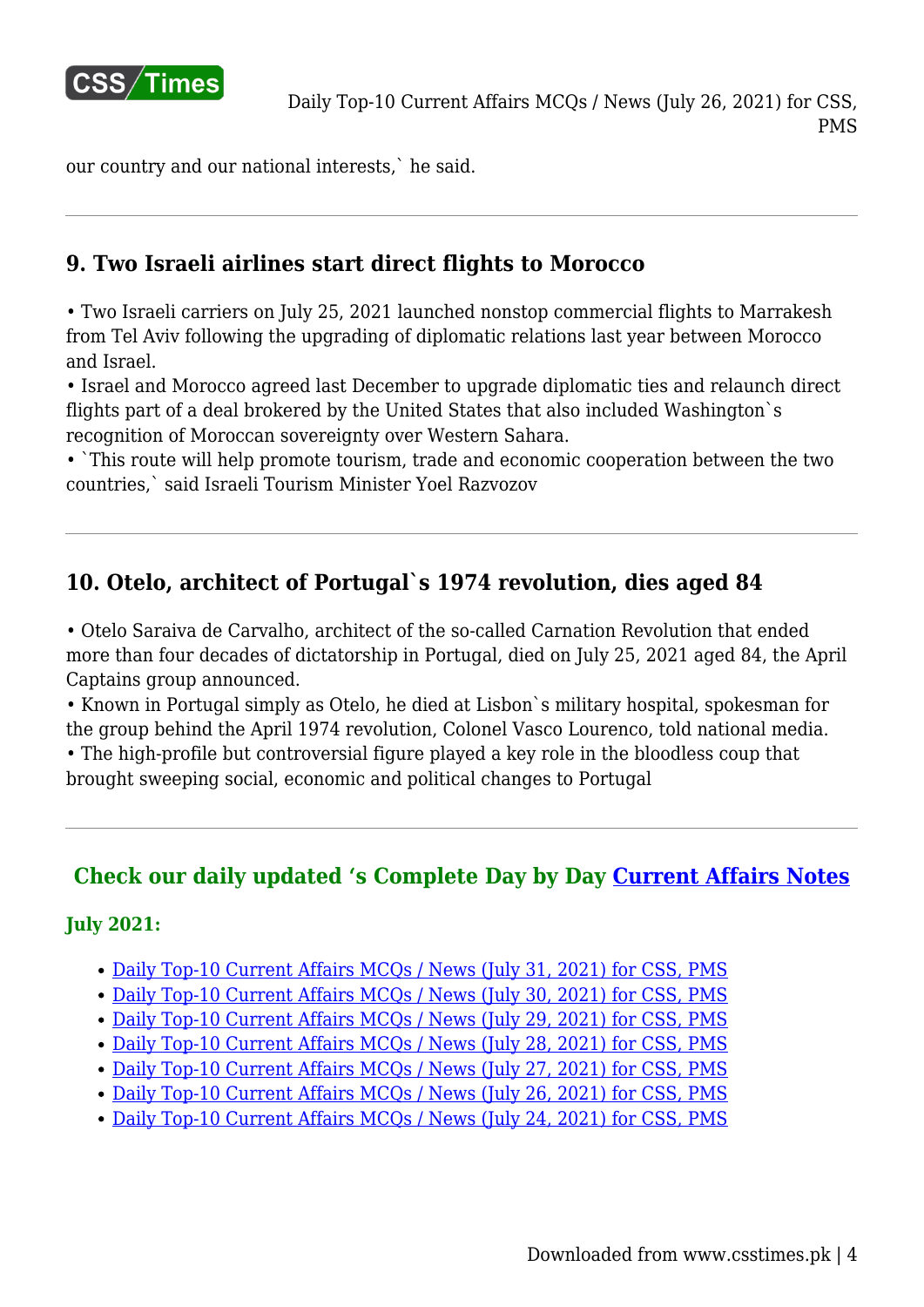

our country and our national interests,` he said.

# **9. Two Israeli airlines start direct flights to Morocco**

• Two Israeli carriers on July 25, 2021 launched nonstop commercial flights to Marrakesh from Tel Aviv following the upgrading of diplomatic relations last year between Morocco and Israel.

• Israel and Morocco agreed last December to upgrade diplomatic ties and relaunch direct flights part of a deal brokered by the United States that also included Washington`s recognition of Moroccan sovereignty over Western Sahara.

• `This route will help promote tourism, trade and economic cooperation between the two countries,` said Israeli Tourism Minister Yoel Razvozov

# **10. Otelo, architect of Portugal`s 1974 revolution, dies aged 84**

• Otelo Saraiva de Carvalho, architect of the so-called Carnation Revolution that ended more than four decades of dictatorship in Portugal, died on July 25, 2021 aged 84, the April Captains group announced.

• Known in Portugal simply as Otelo, he died at Lisbon`s military hospital, spokesman for the group behind the April 1974 revolution, Colonel Vasco Lourenco, told national media.

• The high-profile but controversial figure played a key role in the bloodless coup that brought sweeping social, economic and political changes to Portugal

# **Check our daily updated 's Complete Day by Day [Current Affairs Notes](https://www.csstimes.pk/category/csssubject/csscompulsorysubjects/currentaffairs/)**

#### **July 2021:**

- [Daily Top-10 Current Affairs MCQs / News \(July 31, 2021\) for CSS, PMS](https://www.csstimes.pk/current-affairs-mcqs-july-31-2021/)
- [Daily Top-10 Current Affairs MCQs / News \(July 30, 2021\) for CSS, PMS](https://www.csstimes.pk/current-affairs-mcqs-july-30-2021/)
- [Daily Top-10 Current Affairs MCQs / News \(July 29, 2021\) for CSS, PMS](https://www.csstimes.pk/current-affairs-mcqs-july-29-2021/)
- [Daily Top-10 Current Affairs MCQs / News \(July 28, 2021\) for CSS, PMS](https://www.csstimes.pk/current-affairs-mcqs-july-28-2021/)
- [Daily Top-10 Current Affairs MCQs / News \(July 27, 2021\) for CSS, PMS](https://www.csstimes.pk/daily-current-affairs-mcqs-news-july-27-2021/)
- Daily Top-10 Current Affairs MCOs / News (July 26, 2021) for CSS, PMS
- [Daily Top-10 Current Affairs MCQs / News \(July 24, 2021\) for CSS, PMS](https://www.csstimes.pk/current-affairs-mcqs-jul-24-2021/)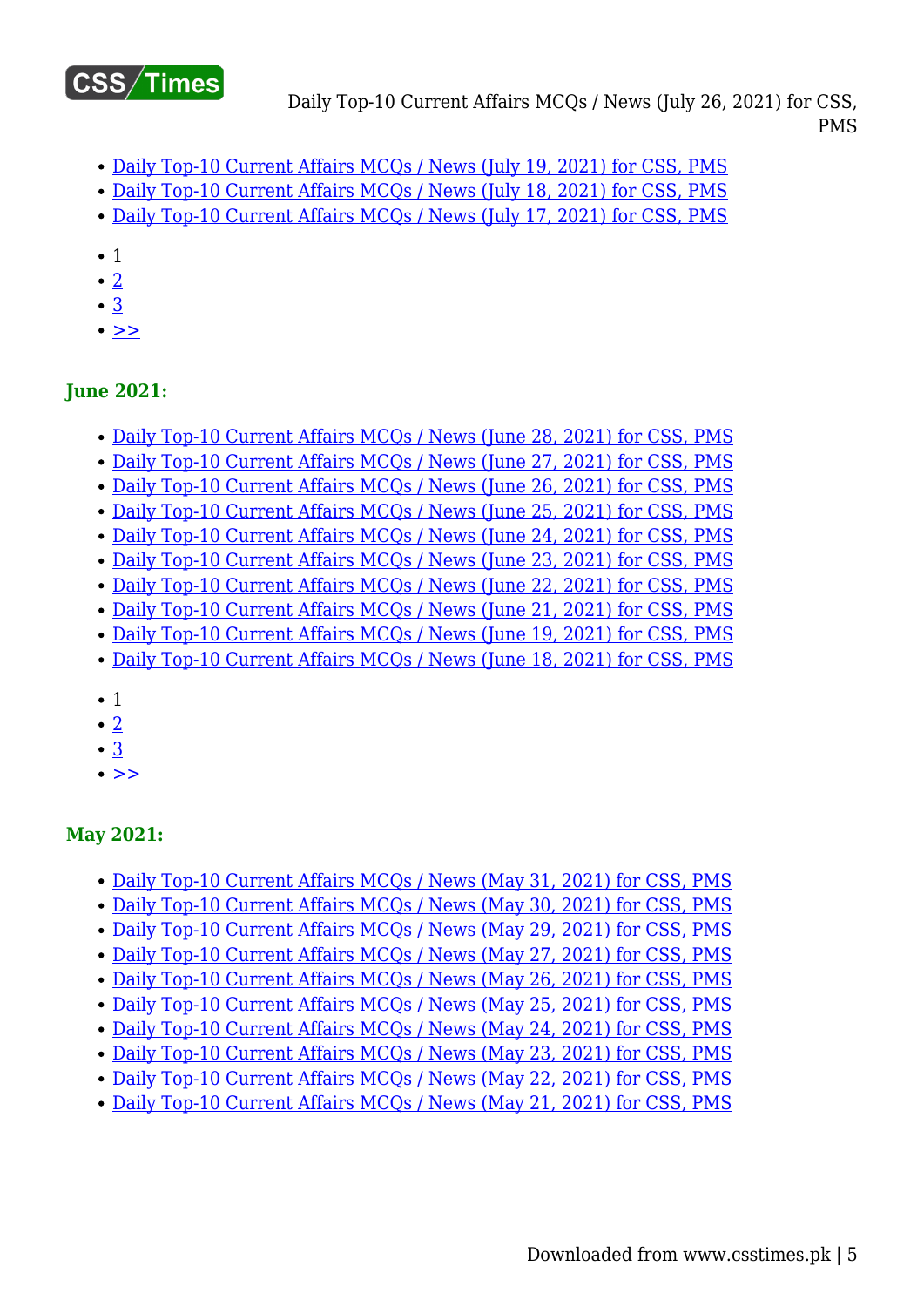

- [Daily Top-10 Current Affairs MCQs / News \(July 19, 2021\) for CSS, PMS](https://www.csstimes.pk/current-affairs-mcqs-jul-19-2021/)
- [Daily Top-10 Current Affairs MCQs / News \(July 18, 2021\) for CSS, PMS](https://www.csstimes.pk/current-affairs-mcqs-jul-18-2021/)
- [Daily Top-10 Current Affairs MCQs / News \(July 17, 2021\) for CSS, PMS](https://www.csstimes.pk/current-affairs-mcqs-jul-17-2021/)
- 1
- $\bullet$  [2](https://www.csstimes.pk/current-affairs-mcqs-jul-26-2021/?pdf=18111&lcp_page0=2#lcp_instance_0)
- [3](https://www.csstimes.pk/current-affairs-mcqs-jul-26-2021/?pdf=18111&lcp_page0=3#lcp_instance_0)
- $\bullet$   $>$

### **June 2021:**

- [Daily Top-10 Current Affairs MCQs / News \(June 28, 2021\) for CSS, PMS](https://www.csstimes.pk/current-affairs-mcqs-june-28-2021/)
- [Daily Top-10 Current Affairs MCQs / News \(June 27, 2021\) for CSS, PMS](https://www.csstimes.pk/current-affairs-mcqs-june-27-2021/)
- [Daily Top-10 Current Affairs MCQs / News \(June 26, 2021\) for CSS, PMS](https://www.csstimes.pk/current-affairs-mcqs-june-26-2021/)
- [Daily Top-10 Current Affairs MCQs / News \(June 25, 2021\) for CSS, PMS](https://www.csstimes.pk/current-affairs-mcqs-june-25-2021/)
- Daily Top-10 Current Affairs MCOs / News (June 24, 2021) for CSS, PMS
- [Daily Top-10 Current Affairs MCQs / News \(June 23, 2021\) for CSS, PMS](https://www.csstimes.pk/current-affairs-mcqs-june-23-2021/)
- [Daily Top-10 Current Affairs MCQs / News \(June 22, 2021\) for CSS, PMS](https://www.csstimes.pk/current-affairs-mcqs-june-22-2021/)
- [Daily Top-10 Current Affairs MCQs / News \(June 21, 2021\) for CSS, PMS](https://www.csstimes.pk/current-affairs-mcqs-june-21-2021/)
- [Daily Top-10 Current Affairs MCQs / News \(June 19, 2021\) for CSS, PMS](https://www.csstimes.pk/current-affairs-mcqs-june-19-2021/)
- [Daily Top-10 Current Affairs MCQs / News \(June 18, 2021\) for CSS, PMS](https://www.csstimes.pk/current-affairs-mcqs-june-18-2021/)
- 1
- [2](https://www.csstimes.pk/current-affairs-mcqs-jul-26-2021/?pdf=18111&lcp_page0=2#lcp_instance_0)
- $\cdot$  [3](https://www.csstimes.pk/current-affairs-mcqs-jul-26-2021/?pdf=18111&lcp_page0=3#lcp_instance_0)
- $\cdot$   $\geq$

# **May 2021:**

- [Daily Top-10 Current Affairs MCQs / News \(May 31, 2021\) for CSS, PMS](https://www.csstimes.pk/current-affairs-mcqs-may-31-2021/)
- [Daily Top-10 Current Affairs MCQs / News \(May 30, 2021\) for CSS, PMS](https://www.csstimes.pk/current-affairs-mcqs-may-30-2021/)
- [Daily Top-10 Current Affairs MCQs / News \(May 29, 2021\) for CSS, PMS](https://www.csstimes.pk/current-affairs-mcqs-may-29-2021/)
- [Daily Top-10 Current Affairs MCQs / News \(May 27, 2021\) for CSS, PMS](https://www.csstimes.pk/current-affairs-mcqs-may-27-2021/)
- [Daily Top-10 Current Affairs MCQs / News \(May 26, 2021\) for CSS, PMS](https://www.csstimes.pk/current-affairs-mcqs-may-26-2021/)
- [Daily Top-10 Current Affairs MCQs / News \(May 25, 2021\) for CSS, PMS](https://www.csstimes.pk/current-affairs-mcqs-may-25-2021/)
- [Daily Top-10 Current Affairs MCQs / News \(May 24, 2021\) for CSS, PMS](https://www.csstimes.pk/current-affairs-mcqs-may-24-2021/)
- [Daily Top-10 Current Affairs MCQs / News \(May 23, 2021\) for CSS, PMS](https://www.csstimes.pk/current-affairs-mcqs-may-23-2021/)
- [Daily Top-10 Current Affairs MCQs / News \(May 22, 2021\) for CSS, PMS](https://www.csstimes.pk/current-affairs-mcqs-may-22-2021/)
- [Daily Top-10 Current Affairs MCQs / News \(May 21, 2021\) for CSS, PMS](https://www.csstimes.pk/current-affairs-mcqs-may-21-2021/)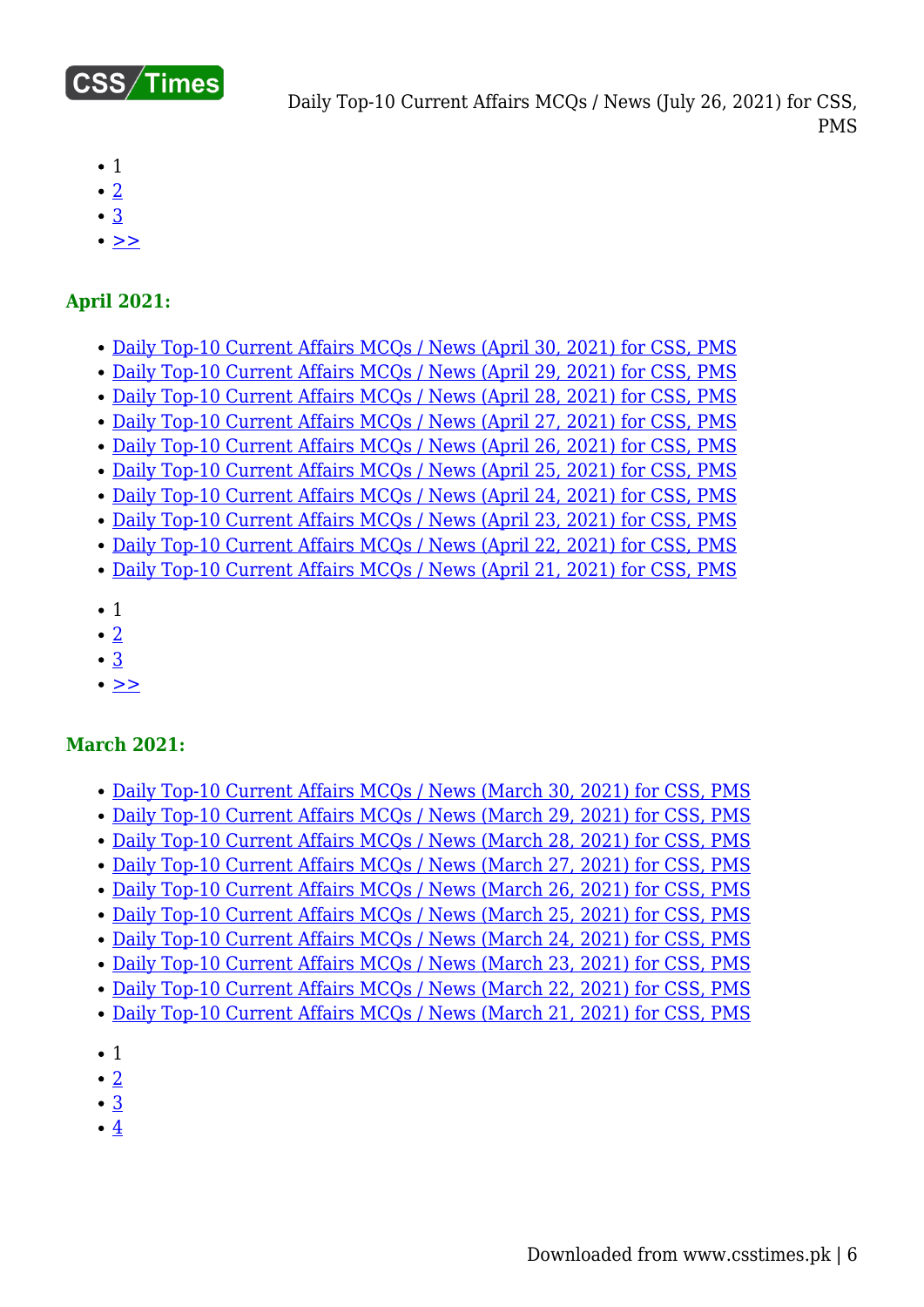

- $\bullet$  1
- $\cdot$  [2](https://www.csstimes.pk/current-affairs-mcqs-jul-26-2021/?pdf=18111&lcp_page0=2#lcp_instance_0)
- [3](https://www.csstimes.pk/current-affairs-mcqs-jul-26-2021/?pdf=18111&lcp_page0=3#lcp_instance_0)
- $\bullet$   $>$

#### **April 2021:**

- [Daily Top-10 Current Affairs MCQs / News \(April 30, 2021\) for CSS, PMS](https://www.csstimes.pk/current-affairs-mcqs-april-30-2021/)
- [Daily Top-10 Current Affairs MCQs / News \(April 29, 2021\) for CSS, PMS](https://www.csstimes.pk/current-affairs-mcqs-april-29-2021/)
- [Daily Top-10 Current Affairs MCQs / News \(April 28, 2021\) for CSS, PMS](https://www.csstimes.pk/current-affairs-mcqs-april-28-2021/)
- [Daily Top-10 Current Affairs MCQs / News \(April 27, 2021\) for CSS, PMS](https://www.csstimes.pk/current-affairs-mcqs-april-27-2021/)
- [Daily Top-10 Current Affairs MCQs / News \(April 26, 2021\) for CSS, PMS](https://www.csstimes.pk/current-affairs-mcqs-april-26-2021/)
- [Daily Top-10 Current Affairs MCQs / News \(April 25, 2021\) for CSS, PMS](https://www.csstimes.pk/current-affairs-mcqs-april-25-2021/) [Daily Top-10 Current Affairs MCQs / News \(April 24, 2021\) for CSS, PMS](https://www.csstimes.pk/current-affairs-mcqs-april-24-2021/)
- [Daily Top-10 Current Affairs MCQs / News \(April 23, 2021\) for CSS, PMS](https://www.csstimes.pk/current-affairs-mcqs-april-23-2021/)
- [Daily Top-10 Current Affairs MCQs / News \(April 22, 2021\) for CSS, PMS](https://www.csstimes.pk/current-affairs-mcqs-april-22-2021/)
- [Daily Top-10 Current Affairs MCQs / News \(April 21, 2021\) for CSS, PMS](https://www.csstimes.pk/current-affairs-mcqs-april-21-2021/)
- $\bullet$  1
- $\cdot$  [2](https://www.csstimes.pk/current-affairs-mcqs-jul-26-2021/?pdf=18111&lcp_page0=2#lcp_instance_0)
- [3](https://www.csstimes.pk/current-affairs-mcqs-jul-26-2021/?pdf=18111&lcp_page0=3#lcp_instance_0)
- $\cdot$   $>$

#### **March 2021:**

- [Daily Top-10 Current Affairs MCQs / News \(March 30, 2021\) for CSS, PMS](https://www.csstimes.pk/current-affairs-mcqs-mar-30-2021/)
- [Daily Top-10 Current Affairs MCQs / News \(March 29, 2021\) for CSS, PMS](https://www.csstimes.pk/current-affairs-mcqs-mar-29-2021/)
- [Daily Top-10 Current Affairs MCQs / News \(March 28, 2021\) for CSS, PMS](https://www.csstimes.pk/current-affairs-mcqs-mar-28-2021/)
- [Daily Top-10 Current Affairs MCQs / News \(March 27, 2021\) for CSS, PMS](https://www.csstimes.pk/current-affairs-mcqs-mar-27-2021/)
- [Daily Top-10 Current Affairs MCQs / News \(March 26, 2021\) for CSS, PMS](https://www.csstimes.pk/current-affairs-mcqs-mar-26-2021/)
- [Daily Top-10 Current Affairs MCQs / News \(March 25, 2021\) for CSS, PMS](https://www.csstimes.pk/current-affairs-mcqs-mar-25-2021/)
- [Daily Top-10 Current Affairs MCQs / News \(March 24, 2021\) for CSS, PMS](https://www.csstimes.pk/current-affairs-mcqs-mar-24-2021/)
- [Daily Top-10 Current Affairs MCQs / News \(March 23, 2021\) for CSS, PMS](https://www.csstimes.pk/current-affairs-mcqs-mar-23-2021/)
- [Daily Top-10 Current Affairs MCQs / News \(March 22, 2021\) for CSS, PMS](https://www.csstimes.pk/current-affairs-mcqs-mar-22-2021/)
- [Daily Top-10 Current Affairs MCQs / News \(March 21, 2021\) for CSS, PMS](https://www.csstimes.pk/current-affairs-mcqs-mar-21-2021/)
- 1
- $\bullet$  [2](https://www.csstimes.pk/current-affairs-mcqs-jul-26-2021/?pdf=18111&lcp_page0=2#lcp_instance_0)
- [3](https://www.csstimes.pk/current-affairs-mcqs-jul-26-2021/?pdf=18111&lcp_page0=3#lcp_instance_0)
- $\cdot$  [4](https://www.csstimes.pk/current-affairs-mcqs-jul-26-2021/?pdf=18111&lcp_page0=4#lcp_instance_0)